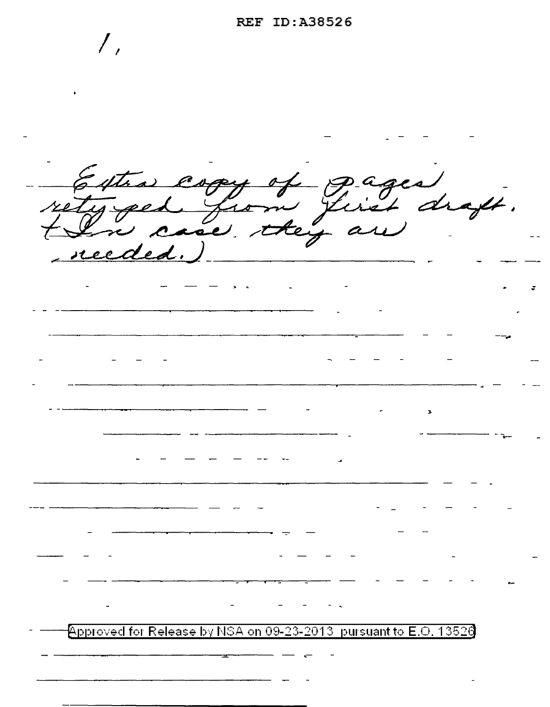$\big/$  , Estra copy of gages draft. reeded.)  $\beta$ pproved for Release by NSA on 09-23-2013, pursuant to E.O. 13526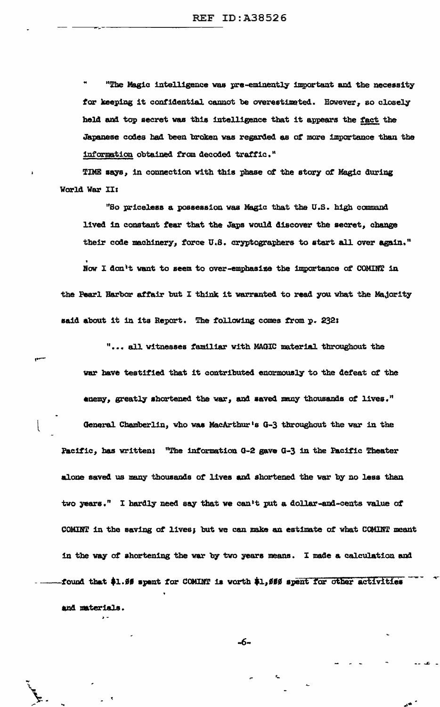"The Magic intelligence was pre-eminently important and the necessity for keeping it confidential cannot be overestimated. However, so closely held and top secret was this intelligence that it appears the fact the Japanese codes had been broken was regarded as of more importance than the information obtained from decoded traffic."

TIME says, in connection with this phase of the story of Magic during World War II;

"So priceless a possession was Magic that the U.S. high command lived in constant fear that the Japs would discover the secret, change their code machinery, force U.S. cryptographers to start all over again."

Now I don't want to seem to over-emphasize the importance of COMINT in the Pearl Harbor affair but I think it warranted to read you what the Majority said about it in its Report. The following comes from p. 232:

"... all witnesses familiar with MAGIC material throughout the war have testified that it contributed enormously to the defeat of the enemy, greatly shortened the war, and saved many thousands of lives." General Chamberlin, who was MacArthur's G-3 throughout the war in the Pacific, has written: "The information G-2 gave G-3 in the Pacific Theater alone saved us many thousands of lives and shortened the war by no less than two years." I hardly need say that we can't put a dollar-and-cents value of COMINT in the saving of lives; but we can make an estimate of what COMINT meant in the way of shortening the war by two years means. I made a calculation and found that \$1.95 spent for COMINT is worth \$1,989 spent for other activities and materials.

-6-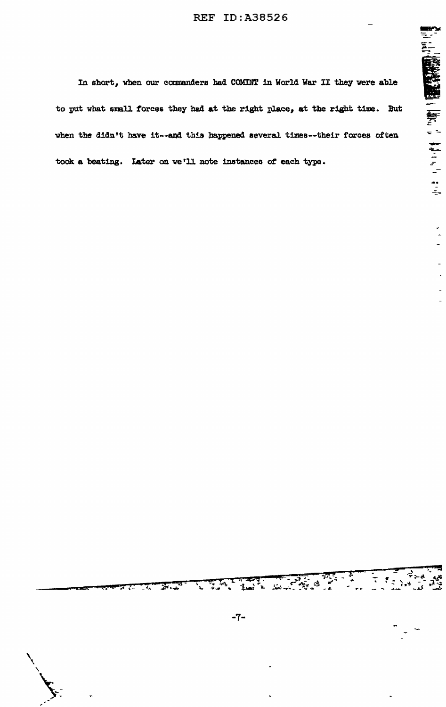In short, when our commanders had COMINT in World War II they were able to put what small forces they had at the right place, at the right time. But when the didn't have it--and this happened several times--their forces often took a beating. Later on we'll note instances of each type.

 $T$  ,  $F = \frac{1}{2}$ 

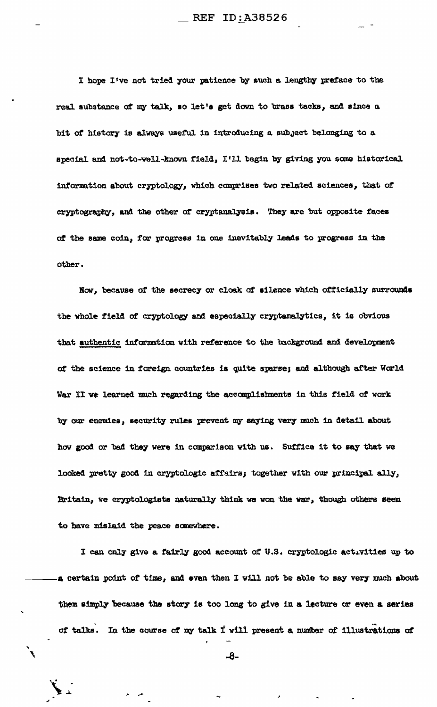I hope I've not tried your patience by such a lengthy preface to the real substance of my talk, so let's get down to brass tacks, and since a bit of history is always useful in introducing a subject belonging to a special and not-to-well-known field, I'll begin by giving you some historical information about cryptology, which comprises two related sciences, that of cryptography, and the other of cryptanalysis. They are but opposite faces of the same coin, for progress in one inevitably leads to progress in the other.

Now, because of the secrecy or cloak of silence which officially surrounds the whole field of cryptology and especially cryptanalytics, it is obvious that authentic information with reference to the background and development of the science in foreign countries is quite sparse; and although after World War II we learned much regarding the accomplishments in this field of work by our enemies, security rules prevent my saying very much in detail about how good or bad they were in comparison with us. Suffice it to say that we looked pretty good in cryptologic affairs; together with our principal ally, Britain, we cryptologists naturally think we won the war, though others seem to have mislaid the peace somewhere.

I can only give a fairly good account of U.S. cryptologic activities up to a certain point of time, and even then I will not be able to say very much about them simply because the story is too long to give in a lecture or even a series of talks. In the course of my talk I will present a number of illustrations of

-8-

 $\mathbf{r}$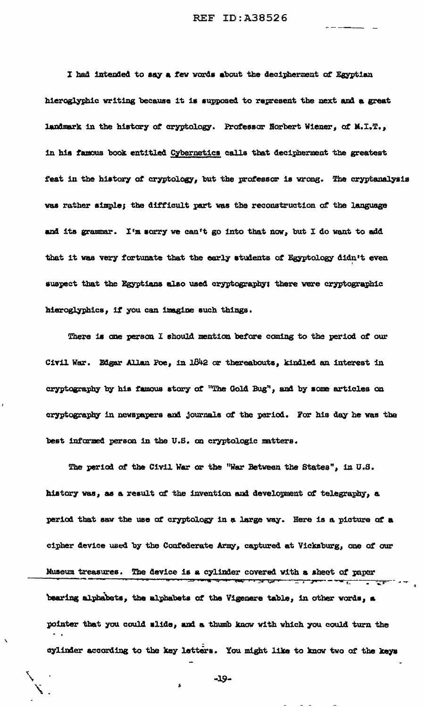I had intended to say a few words about the decipherment of Egyptian hieroglyphic writing because it is supposed to represent the next and a great landmark in the history of cryptology. Professor Norbert Wiener, of M.I.T., in his famous book entitled Cybernetics calls that decipherment the greatest feat in the history of cryptology, but the professor is wrong. The cryptanalysis was rather simple; the difficult part was the reconstruction of the language and its grammar. I'm sorry we can't go into that now, but I do want to add that it was very fortunate that the early students of Egyptology didn't even suspect that the Egyptians also used cryptography: there were cryptographic hieroglyphics, if you can imagine such things.

There is one person I should mention before coming to the period of our Civil War. Edgar Allan Poe, in 1842 or thereabouts, kindled an interest in cryptography by his famous story of "The Gold Bug", and by some articles on cryptography in newspapers and journals of the period. For his day he was the best informed person in the U.S. on cryptologic matters.

The period of the Civil War or the "War Between the States", in U.S. history was, as a result of the invention and development of telegraphy, a period that saw the use of cryptology in a large way. Here is a picture of a cipher device used by the Confederate Army, captured at Vicksburg, one of our Museum treasures. The device is a cylinder covered with a sheet of paper .<br>इ.स. १९ bearing alphabets, the alphabets of the Vigenere table, in other words, a pointer that you could slide, and a thumb know with which you could turn the cylinder according to the key letters. You might like to know two of the keys

-19-

 $\sim 10^{-1}$  and  $\sim 10^{-1}$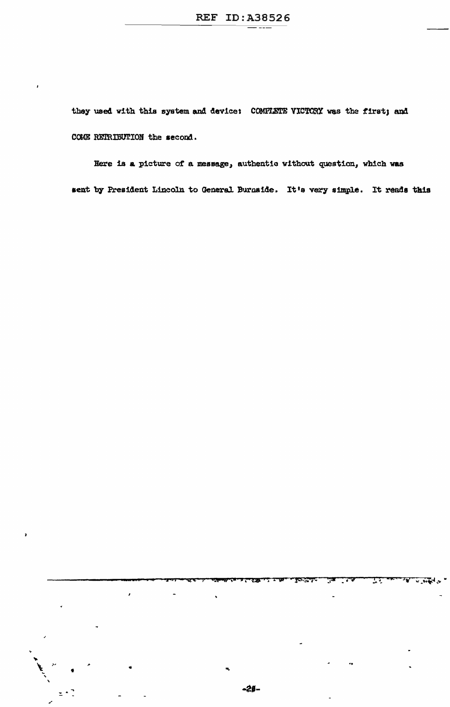they used with this system and device: COMPLETE VICTORY was the first; and COME RETRIBUTION the second.

Here is a picture of a message, authentic without question, which was sent by President Lincoln to General Burnside. It's very simple. It rends this

 $\pmb{\mathcal{L}}$ 

75377

 $\mathbb{T}^{\mathbb{T}}$ 

 $\sqrt{10}$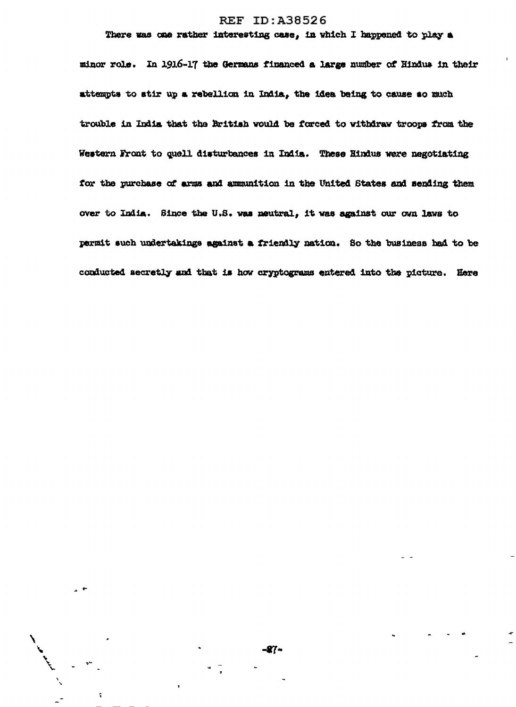## **REF ID:A38526**

## There was one rather interesting case, in which I happened to play a

minor role. In 1916-17 the Germans financed a large number of Hindus in their attempts to stir up a rebellion in India, the idea being to cause so much trouble in India that the British would be forced to withdraw troops from the Western Front to quell disturbances in India. These Hindus were negotiating for the purchase of arms and ammunition in the United States and sending them over to India. Since the U.S. was neutral, it was against our own laws to permit such undertakings against a friendly nation. So the business had to be conducted secretly and that is how cryptograms entered into the picture. Here

 $\hat{\textbf{t}}$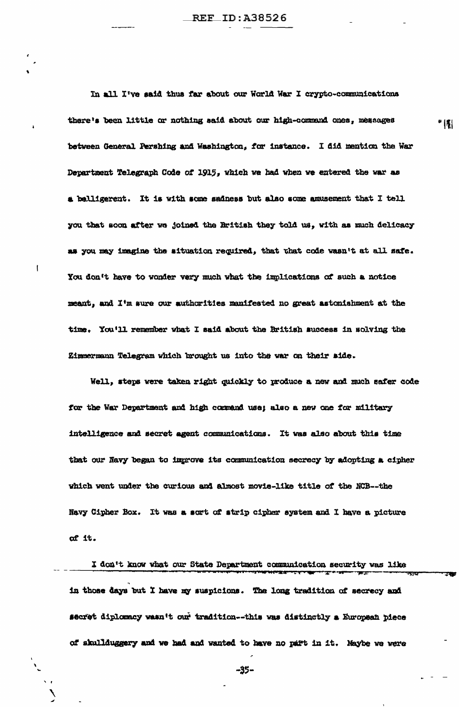In all I've said thus far about our World War I crypto-communications there's been little or nothing said about our high-command ones, messages between General Pershing and Washington, for instance. I did mention the War Department Telegraph Code of 1915, which we had when we entered the war as a belligerent. It is with some sadness but also some amusement that I tell you that soon after we joined the British they told us, with as much delicacy as you may imagine the situation required, that that code wasn't at all safe. You don't have to wonder very much what the implications of such a notice meant, and I'm sure our authorities manifested no great astonishment at the time. You'll remember what I said about the British success in solving the Zimmermann Telegram which brought us into the war on their side.

\* (태

Well, steps were taken right quickly to produce a new and much safer code for the War Department and high command use; also a new one for military intelligence and secret agent communications. It was also about this time that our Navy began to improve its communication secrecy by adopting a cipher which went under the curious and almost movie-like title of the NCB--the Navy Cipher Box. It was a sort of strip cipher system and I have a picture of it.

I don't know what our State Department communication security was like in those days but I have my suspicions. The long tradition of secrecy and secret diplomacy wasn't our tradition--this was distinctly a European piece of skullduggery and we had and wanted to have no part in it. Maybe we were

-35-